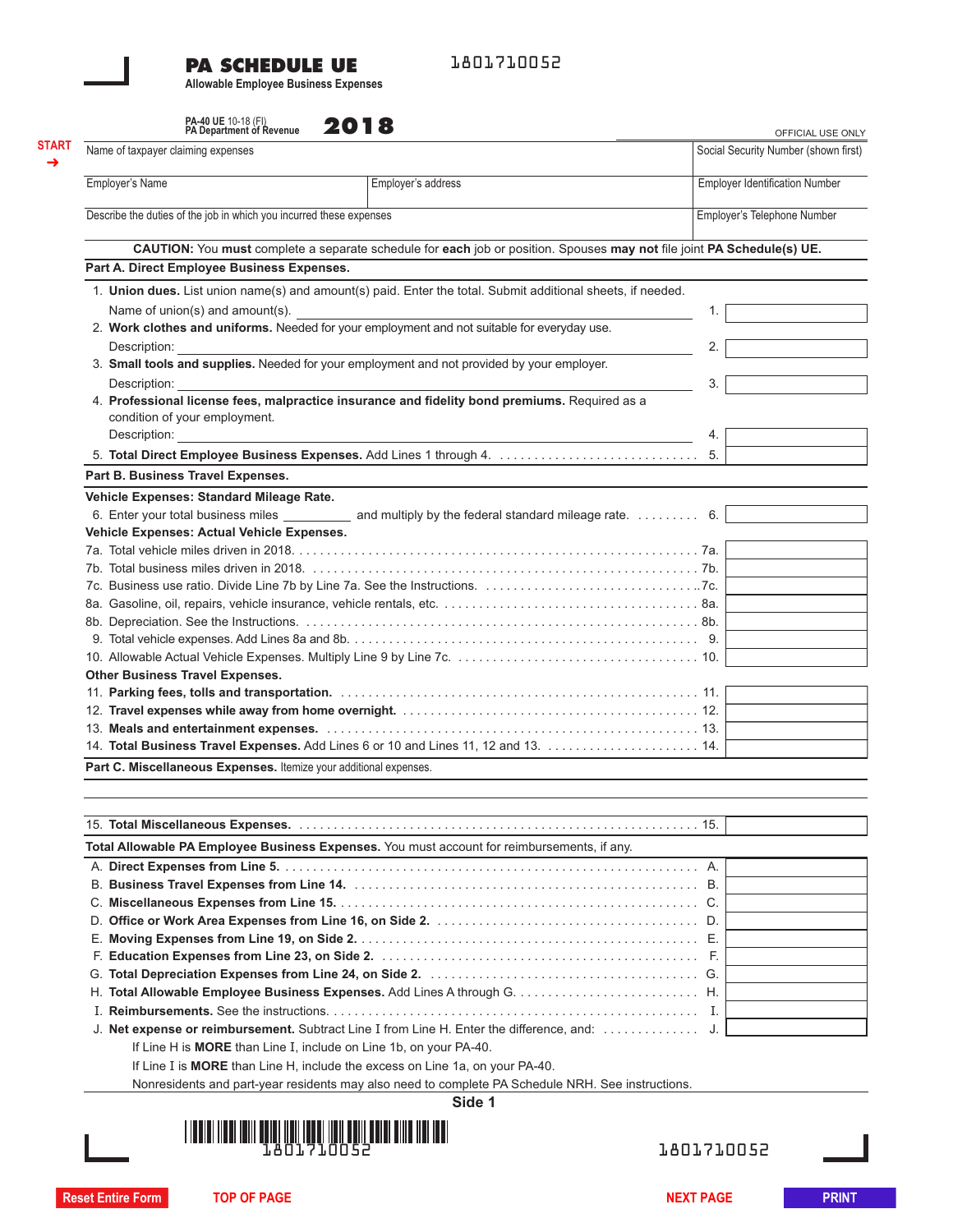# **PA SCHEDULE UE**

1801710052

**Allowable Employee Business Expenses**

**PA-40 UE 10-18 (FI) 901 R** 

| Employer's Name<br>Employer's address<br>Describe the duties of the job in which you incurred these expenses<br>CAUTION: You must complete a separate schedule for each job or position. Spouses may not file joint PA Schedule(s) UE.<br>Part A. Direct Employee Business Expenses.<br>1. Union dues. List union name(s) and amount(s) paid. Enter the total. Submit additional sheets, if needed.<br>Name of union(s) and amount(s).<br>2. Work clothes and uniforms. Needed for your employment and not suitable for everyday use.<br>Description:<br>3. Small tools and supplies. Needed for your employment and not provided by your employer.<br>Description:<br>4. Professional license fees, malpractice insurance and fidelity bond premiums. Required as a<br>condition of your employment.<br>Description:<br>Part B. Business Travel Expenses.<br>Vehicle Expenses: Standard Mileage Rate.<br>6. Enter your total business miles ____________ and multiply by the federal standard mileage rate. 6.<br>Vehicle Expenses: Actual Vehicle Expenses.<br><b>Other Business Travel Expenses.</b><br>14. Total Business Travel Expenses. Add Lines 6 or 10 and Lines 11, 12 and 13.  14.<br>Part C. Miscellaneous Expenses. Itemize your additional expenses.<br>Total Allowable PA Employee Business Expenses. You must account for reimbursements, if any.<br>J. Net expense or reimbursement. Subtract Line I from Line H. Enter the difference, and:<br>If Line H is MORE than Line I, include on Line 1b, on your PA-40.<br>If Line I is MORE than Line H, include the excess on Line 1a, on your PA-40.<br>Nonresidents and part-year residents may also need to complete PA Schedule NRH. See instructions.<br>Side 1 | <b>Employer Identification Number</b><br>Employer's Telephone Number |
|------------------------------------------------------------------------------------------------------------------------------------------------------------------------------------------------------------------------------------------------------------------------------------------------------------------------------------------------------------------------------------------------------------------------------------------------------------------------------------------------------------------------------------------------------------------------------------------------------------------------------------------------------------------------------------------------------------------------------------------------------------------------------------------------------------------------------------------------------------------------------------------------------------------------------------------------------------------------------------------------------------------------------------------------------------------------------------------------------------------------------------------------------------------------------------------------------------------------------------------------------------------------------------------------------------------------------------------------------------------------------------------------------------------------------------------------------------------------------------------------------------------------------------------------------------------------------------------------------------------------------------------------------------------------------------------------------------------------------------|----------------------------------------------------------------------|
|                                                                                                                                                                                                                                                                                                                                                                                                                                                                                                                                                                                                                                                                                                                                                                                                                                                                                                                                                                                                                                                                                                                                                                                                                                                                                                                                                                                                                                                                                                                                                                                                                                                                                                                                    |                                                                      |
|                                                                                                                                                                                                                                                                                                                                                                                                                                                                                                                                                                                                                                                                                                                                                                                                                                                                                                                                                                                                                                                                                                                                                                                                                                                                                                                                                                                                                                                                                                                                                                                                                                                                                                                                    |                                                                      |
|                                                                                                                                                                                                                                                                                                                                                                                                                                                                                                                                                                                                                                                                                                                                                                                                                                                                                                                                                                                                                                                                                                                                                                                                                                                                                                                                                                                                                                                                                                                                                                                                                                                                                                                                    |                                                                      |
|                                                                                                                                                                                                                                                                                                                                                                                                                                                                                                                                                                                                                                                                                                                                                                                                                                                                                                                                                                                                                                                                                                                                                                                                                                                                                                                                                                                                                                                                                                                                                                                                                                                                                                                                    |                                                                      |
|                                                                                                                                                                                                                                                                                                                                                                                                                                                                                                                                                                                                                                                                                                                                                                                                                                                                                                                                                                                                                                                                                                                                                                                                                                                                                                                                                                                                                                                                                                                                                                                                                                                                                                                                    |                                                                      |
|                                                                                                                                                                                                                                                                                                                                                                                                                                                                                                                                                                                                                                                                                                                                                                                                                                                                                                                                                                                                                                                                                                                                                                                                                                                                                                                                                                                                                                                                                                                                                                                                                                                                                                                                    |                                                                      |
|                                                                                                                                                                                                                                                                                                                                                                                                                                                                                                                                                                                                                                                                                                                                                                                                                                                                                                                                                                                                                                                                                                                                                                                                                                                                                                                                                                                                                                                                                                                                                                                                                                                                                                                                    | 1.                                                                   |
|                                                                                                                                                                                                                                                                                                                                                                                                                                                                                                                                                                                                                                                                                                                                                                                                                                                                                                                                                                                                                                                                                                                                                                                                                                                                                                                                                                                                                                                                                                                                                                                                                                                                                                                                    |                                                                      |
|                                                                                                                                                                                                                                                                                                                                                                                                                                                                                                                                                                                                                                                                                                                                                                                                                                                                                                                                                                                                                                                                                                                                                                                                                                                                                                                                                                                                                                                                                                                                                                                                                                                                                                                                    | 2.                                                                   |
|                                                                                                                                                                                                                                                                                                                                                                                                                                                                                                                                                                                                                                                                                                                                                                                                                                                                                                                                                                                                                                                                                                                                                                                                                                                                                                                                                                                                                                                                                                                                                                                                                                                                                                                                    | 3.                                                                   |
|                                                                                                                                                                                                                                                                                                                                                                                                                                                                                                                                                                                                                                                                                                                                                                                                                                                                                                                                                                                                                                                                                                                                                                                                                                                                                                                                                                                                                                                                                                                                                                                                                                                                                                                                    |                                                                      |
|                                                                                                                                                                                                                                                                                                                                                                                                                                                                                                                                                                                                                                                                                                                                                                                                                                                                                                                                                                                                                                                                                                                                                                                                                                                                                                                                                                                                                                                                                                                                                                                                                                                                                                                                    |                                                                      |
|                                                                                                                                                                                                                                                                                                                                                                                                                                                                                                                                                                                                                                                                                                                                                                                                                                                                                                                                                                                                                                                                                                                                                                                                                                                                                                                                                                                                                                                                                                                                                                                                                                                                                                                                    | 4.                                                                   |
|                                                                                                                                                                                                                                                                                                                                                                                                                                                                                                                                                                                                                                                                                                                                                                                                                                                                                                                                                                                                                                                                                                                                                                                                                                                                                                                                                                                                                                                                                                                                                                                                                                                                                                                                    | 5.                                                                   |
|                                                                                                                                                                                                                                                                                                                                                                                                                                                                                                                                                                                                                                                                                                                                                                                                                                                                                                                                                                                                                                                                                                                                                                                                                                                                                                                                                                                                                                                                                                                                                                                                                                                                                                                                    |                                                                      |
|                                                                                                                                                                                                                                                                                                                                                                                                                                                                                                                                                                                                                                                                                                                                                                                                                                                                                                                                                                                                                                                                                                                                                                                                                                                                                                                                                                                                                                                                                                                                                                                                                                                                                                                                    |                                                                      |
|                                                                                                                                                                                                                                                                                                                                                                                                                                                                                                                                                                                                                                                                                                                                                                                                                                                                                                                                                                                                                                                                                                                                                                                                                                                                                                                                                                                                                                                                                                                                                                                                                                                                                                                                    |                                                                      |
|                                                                                                                                                                                                                                                                                                                                                                                                                                                                                                                                                                                                                                                                                                                                                                                                                                                                                                                                                                                                                                                                                                                                                                                                                                                                                                                                                                                                                                                                                                                                                                                                                                                                                                                                    |                                                                      |
|                                                                                                                                                                                                                                                                                                                                                                                                                                                                                                                                                                                                                                                                                                                                                                                                                                                                                                                                                                                                                                                                                                                                                                                                                                                                                                                                                                                                                                                                                                                                                                                                                                                                                                                                    |                                                                      |
|                                                                                                                                                                                                                                                                                                                                                                                                                                                                                                                                                                                                                                                                                                                                                                                                                                                                                                                                                                                                                                                                                                                                                                                                                                                                                                                                                                                                                                                                                                                                                                                                                                                                                                                                    |                                                                      |
|                                                                                                                                                                                                                                                                                                                                                                                                                                                                                                                                                                                                                                                                                                                                                                                                                                                                                                                                                                                                                                                                                                                                                                                                                                                                                                                                                                                                                                                                                                                                                                                                                                                                                                                                    |                                                                      |
|                                                                                                                                                                                                                                                                                                                                                                                                                                                                                                                                                                                                                                                                                                                                                                                                                                                                                                                                                                                                                                                                                                                                                                                                                                                                                                                                                                                                                                                                                                                                                                                                                                                                                                                                    |                                                                      |
|                                                                                                                                                                                                                                                                                                                                                                                                                                                                                                                                                                                                                                                                                                                                                                                                                                                                                                                                                                                                                                                                                                                                                                                                                                                                                                                                                                                                                                                                                                                                                                                                                                                                                                                                    |                                                                      |
|                                                                                                                                                                                                                                                                                                                                                                                                                                                                                                                                                                                                                                                                                                                                                                                                                                                                                                                                                                                                                                                                                                                                                                                                                                                                                                                                                                                                                                                                                                                                                                                                                                                                                                                                    |                                                                      |
|                                                                                                                                                                                                                                                                                                                                                                                                                                                                                                                                                                                                                                                                                                                                                                                                                                                                                                                                                                                                                                                                                                                                                                                                                                                                                                                                                                                                                                                                                                                                                                                                                                                                                                                                    |                                                                      |
|                                                                                                                                                                                                                                                                                                                                                                                                                                                                                                                                                                                                                                                                                                                                                                                                                                                                                                                                                                                                                                                                                                                                                                                                                                                                                                                                                                                                                                                                                                                                                                                                                                                                                                                                    |                                                                      |
|                                                                                                                                                                                                                                                                                                                                                                                                                                                                                                                                                                                                                                                                                                                                                                                                                                                                                                                                                                                                                                                                                                                                                                                                                                                                                                                                                                                                                                                                                                                                                                                                                                                                                                                                    |                                                                      |
|                                                                                                                                                                                                                                                                                                                                                                                                                                                                                                                                                                                                                                                                                                                                                                                                                                                                                                                                                                                                                                                                                                                                                                                                                                                                                                                                                                                                                                                                                                                                                                                                                                                                                                                                    |                                                                      |
|                                                                                                                                                                                                                                                                                                                                                                                                                                                                                                                                                                                                                                                                                                                                                                                                                                                                                                                                                                                                                                                                                                                                                                                                                                                                                                                                                                                                                                                                                                                                                                                                                                                                                                                                    |                                                                      |
|                                                                                                                                                                                                                                                                                                                                                                                                                                                                                                                                                                                                                                                                                                                                                                                                                                                                                                                                                                                                                                                                                                                                                                                                                                                                                                                                                                                                                                                                                                                                                                                                                                                                                                                                    |                                                                      |
|                                                                                                                                                                                                                                                                                                                                                                                                                                                                                                                                                                                                                                                                                                                                                                                                                                                                                                                                                                                                                                                                                                                                                                                                                                                                                                                                                                                                                                                                                                                                                                                                                                                                                                                                    |                                                                      |
|                                                                                                                                                                                                                                                                                                                                                                                                                                                                                                                                                                                                                                                                                                                                                                                                                                                                                                                                                                                                                                                                                                                                                                                                                                                                                                                                                                                                                                                                                                                                                                                                                                                                                                                                    |                                                                      |
|                                                                                                                                                                                                                                                                                                                                                                                                                                                                                                                                                                                                                                                                                                                                                                                                                                                                                                                                                                                                                                                                                                                                                                                                                                                                                                                                                                                                                                                                                                                                                                                                                                                                                                                                    |                                                                      |
|                                                                                                                                                                                                                                                                                                                                                                                                                                                                                                                                                                                                                                                                                                                                                                                                                                                                                                                                                                                                                                                                                                                                                                                                                                                                                                                                                                                                                                                                                                                                                                                                                                                                                                                                    |                                                                      |
|                                                                                                                                                                                                                                                                                                                                                                                                                                                                                                                                                                                                                                                                                                                                                                                                                                                                                                                                                                                                                                                                                                                                                                                                                                                                                                                                                                                                                                                                                                                                                                                                                                                                                                                                    |                                                                      |
|                                                                                                                                                                                                                                                                                                                                                                                                                                                                                                                                                                                                                                                                                                                                                                                                                                                                                                                                                                                                                                                                                                                                                                                                                                                                                                                                                                                                                                                                                                                                                                                                                                                                                                                                    |                                                                      |
|                                                                                                                                                                                                                                                                                                                                                                                                                                                                                                                                                                                                                                                                                                                                                                                                                                                                                                                                                                                                                                                                                                                                                                                                                                                                                                                                                                                                                                                                                                                                                                                                                                                                                                                                    |                                                                      |
|                                                                                                                                                                                                                                                                                                                                                                                                                                                                                                                                                                                                                                                                                                                                                                                                                                                                                                                                                                                                                                                                                                                                                                                                                                                                                                                                                                                                                                                                                                                                                                                                                                                                                                                                    |                                                                      |
|                                                                                                                                                                                                                                                                                                                                                                                                                                                                                                                                                                                                                                                                                                                                                                                                                                                                                                                                                                                                                                                                                                                                                                                                                                                                                                                                                                                                                                                                                                                                                                                                                                                                                                                                    |                                                                      |
|                                                                                                                                                                                                                                                                                                                                                                                                                                                                                                                                                                                                                                                                                                                                                                                                                                                                                                                                                                                                                                                                                                                                                                                                                                                                                                                                                                                                                                                                                                                                                                                                                                                                                                                                    |                                                                      |
|                                                                                                                                                                                                                                                                                                                                                                                                                                                                                                                                                                                                                                                                                                                                                                                                                                                                                                                                                                                                                                                                                                                                                                                                                                                                                                                                                                                                                                                                                                                                                                                                                                                                                                                                    |                                                                      |
|                                                                                                                                                                                                                                                                                                                                                                                                                                                                                                                                                                                                                                                                                                                                                                                                                                                                                                                                                                                                                                                                                                                                                                                                                                                                                                                                                                                                                                                                                                                                                                                                                                                                                                                                    |                                                                      |
|                                                                                                                                                                                                                                                                                                                                                                                                                                                                                                                                                                                                                                                                                                                                                                                                                                                                                                                                                                                                                                                                                                                                                                                                                                                                                                                                                                                                                                                                                                                                                                                                                                                                                                                                    | J.                                                                   |
|                                                                                                                                                                                                                                                                                                                                                                                                                                                                                                                                                                                                                                                                                                                                                                                                                                                                                                                                                                                                                                                                                                                                                                                                                                                                                                                                                                                                                                                                                                                                                                                                                                                                                                                                    |                                                                      |
|                                                                                                                                                                                                                                                                                                                                                                                                                                                                                                                                                                                                                                                                                                                                                                                                                                                                                                                                                                                                                                                                                                                                                                                                                                                                                                                                                                                                                                                                                                                                                                                                                                                                                                                                    |                                                                      |
|                                                                                                                                                                                                                                                                                                                                                                                                                                                                                                                                                                                                                                                                                                                                                                                                                                                                                                                                                                                                                                                                                                                                                                                                                                                                                                                                                                                                                                                                                                                                                                                                                                                                                                                                    |                                                                      |
|                                                                                                                                                                                                                                                                                                                                                                                                                                                                                                                                                                                                                                                                                                                                                                                                                                                                                                                                                                                                                                                                                                                                                                                                                                                                                                                                                                                                                                                                                                                                                                                                                                                                                                                                    |                                                                      |
| <u> 1 100101 11011 10111 001101 11010 11010 11111 11111 11111 11111 11011 11011 1101</u>                                                                                                                                                                                                                                                                                                                                                                                                                                                                                                                                                                                                                                                                                                                                                                                                                                                                                                                                                                                                                                                                                                                                                                                                                                                                                                                                                                                                                                                                                                                                                                                                                                           |                                                                      |
| 801710052                                                                                                                                                                                                                                                                                                                                                                                                                                                                                                                                                                                                                                                                                                                                                                                                                                                                                                                                                                                                                                                                                                                                                                                                                                                                                                                                                                                                                                                                                                                                                                                                                                                                                                                          | 1801710052                                                           |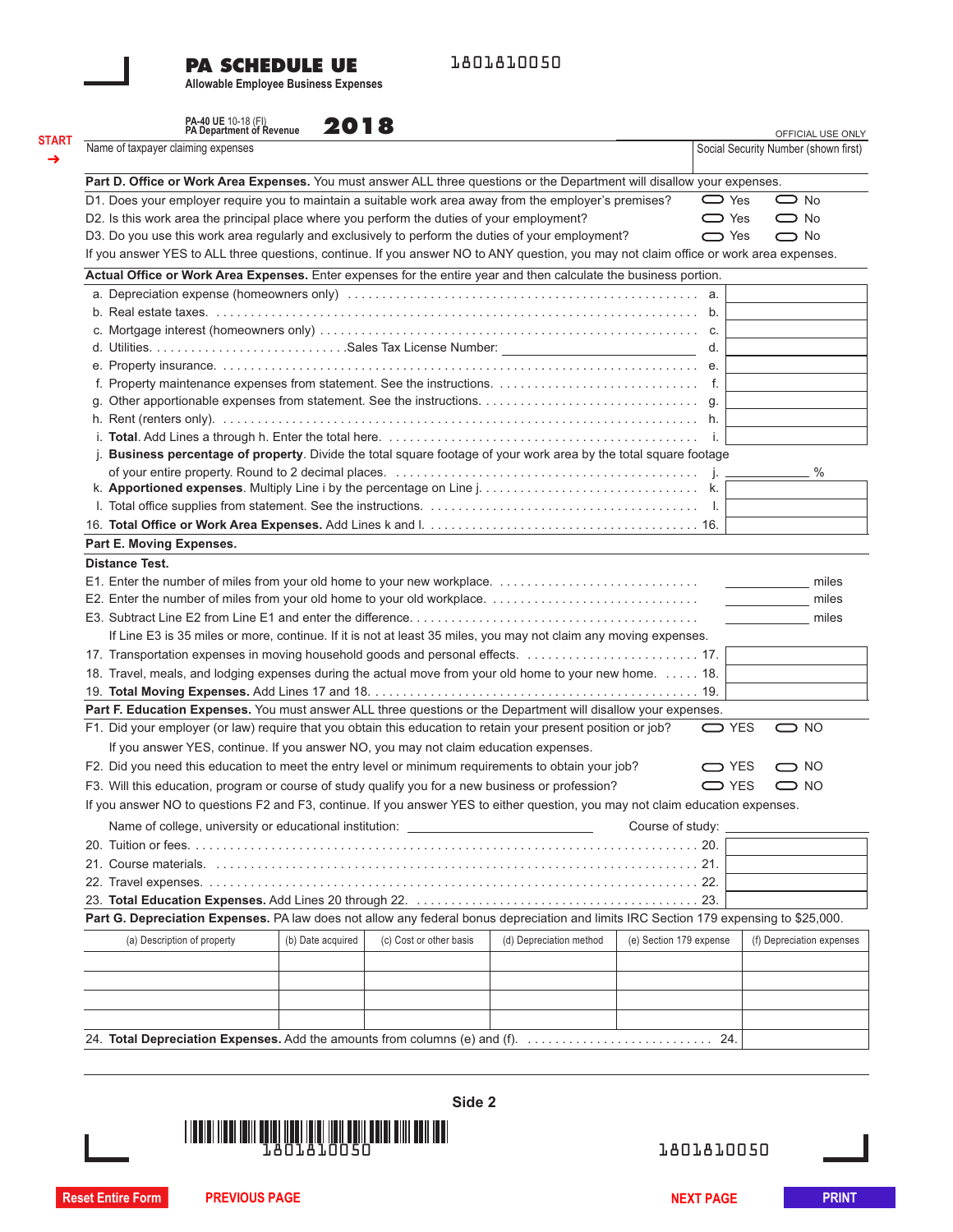## **PA SCHEDULE UE**

1801810050

**Allowable Employee Business Expenses**

|                       | PA-40 UE 10-18 (FI)<br>PA Department of Revenue                                                                                       | 2018              |                         |                         |                         | OFFICIAL USE ONLY                                                                  |
|-----------------------|---------------------------------------------------------------------------------------------------------------------------------------|-------------------|-------------------------|-------------------------|-------------------------|------------------------------------------------------------------------------------|
|                       | Name of taxpayer claiming expenses                                                                                                    |                   |                         |                         |                         | Social Security Number (shown first)                                               |
|                       | Part D. Office or Work Area Expenses. You must answer ALL three questions or the Department will disallow your expenses.              |                   |                         |                         |                         |                                                                                    |
|                       | D1. Does your employer require you to maintain a suitable work area away from the employer's premises?                                |                   |                         |                         | $\sum$ Yes              | $\bigcirc$ No                                                                      |
|                       | D2. Is this work area the principal place where you perform the duties of your employment?                                            |                   |                         |                         | $\bigcirc$ Yes          | $\bigcirc$ No                                                                      |
|                       | D3. Do you use this work area regularly and exclusively to perform the duties of your employment?                                     |                   |                         |                         | $\bigcirc$ Yes          | $\bigcirc$ No                                                                      |
|                       | If you answer YES to ALL three questions, continue. If you answer NO to ANY question, you may not claim office or work area expenses. |                   |                         |                         |                         |                                                                                    |
|                       | Actual Office or Work Area Expenses. Enter expenses for the entire year and then calculate the business portion.                      |                   |                         |                         |                         |                                                                                    |
|                       |                                                                                                                                       |                   |                         |                         |                         |                                                                                    |
|                       |                                                                                                                                       |                   |                         |                         |                         |                                                                                    |
|                       |                                                                                                                                       |                   |                         |                         |                         |                                                                                    |
|                       |                                                                                                                                       |                   |                         |                         | d.                      |                                                                                    |
|                       |                                                                                                                                       |                   |                         |                         |                         |                                                                                    |
|                       |                                                                                                                                       |                   |                         |                         |                         |                                                                                    |
| g.                    |                                                                                                                                       |                   |                         |                         |                         |                                                                                    |
|                       |                                                                                                                                       |                   |                         |                         |                         |                                                                                    |
|                       |                                                                                                                                       |                   |                         |                         | i.                      |                                                                                    |
|                       | Business percentage of property. Divide the total square footage of your work area by the total square footage                        |                   |                         |                         |                         |                                                                                    |
|                       |                                                                                                                                       |                   |                         |                         |                         | $\%$                                                                               |
|                       |                                                                                                                                       |                   |                         |                         |                         |                                                                                    |
|                       |                                                                                                                                       |                   |                         |                         |                         |                                                                                    |
|                       |                                                                                                                                       |                   |                         |                         |                         |                                                                                    |
|                       | Part E. Moving Expenses.                                                                                                              |                   |                         |                         |                         |                                                                                    |
| <b>Distance Test.</b> |                                                                                                                                       |                   |                         |                         |                         |                                                                                    |
|                       |                                                                                                                                       |                   |                         |                         |                         | miles                                                                              |
|                       |                                                                                                                                       |                   |                         |                         |                         | $\overline{\phantom{a}}$ and $\overline{\phantom{a}}$ and $\overline{\phantom{a}}$ |
|                       |                                                                                                                                       |                   |                         |                         |                         | miles                                                                              |
|                       |                                                                                                                                       |                   |                         |                         |                         | miles                                                                              |
|                       | If Line E3 is 35 miles or more, continue. If it is not at least 35 miles, you may not claim any moving expenses.                      |                   |                         |                         |                         |                                                                                    |
|                       | 17. Transportation expenses in moving household goods and personal effects.  17.                                                      |                   |                         |                         |                         |                                                                                    |
|                       | 18. Travel, meals, and lodging expenses during the actual move from your old home to your new home. 18.                               |                   |                         |                         |                         |                                                                                    |
|                       |                                                                                                                                       |                   |                         |                         |                         |                                                                                    |
|                       | Part F. Education Expenses. You must answer ALL three questions or the Department will disallow your expenses.                        |                   |                         |                         |                         |                                                                                    |
|                       | F1. Did your employer (or law) require that you obtain this education to retain your present position or job?                         |                   |                         |                         | $\sum$ YES              | $\bigcirc$ NO                                                                      |
|                       | If you answer YES, continue. If you answer NO, you may not claim education expenses.                                                  |                   |                         |                         |                         |                                                                                    |
|                       | F2. Did you need this education to meet the entry level or minimum requirements to obtain your job?                                   |                   |                         |                         | $\bigcirc$ YES          | $\bigcirc$ NO                                                                      |
|                       | F3. Will this education, program or course of study qualify you for a new business or profession?                                     |                   |                         |                         | $\bigcirc$ YES          | $\bigcirc$ NO                                                                      |
|                       | If you answer NO to questions F2 and F3, continue. If you answer YES to either question, you may not claim education expenses.        |                   |                         |                         |                         |                                                                                    |
|                       |                                                                                                                                       |                   |                         |                         |                         |                                                                                    |
|                       | Name of college, university or educational institution: ________________________                                                      |                   |                         |                         | Course of study:        |                                                                                    |
|                       |                                                                                                                                       |                   |                         |                         |                         |                                                                                    |
|                       |                                                                                                                                       |                   |                         |                         |                         |                                                                                    |
|                       |                                                                                                                                       |                   |                         |                         |                         |                                                                                    |
|                       |                                                                                                                                       |                   |                         |                         |                         |                                                                                    |
|                       | Part G. Depreciation Expenses. PA law does not allow any federal bonus depreciation and limits IRC Section 179 expensing to \$25,000. |                   |                         |                         |                         |                                                                                    |
|                       | (a) Description of property                                                                                                           | (b) Date acquired | (c) Cost or other basis | (d) Depreciation method | (e) Section 179 expense | (f) Depreciation expenses                                                          |
|                       |                                                                                                                                       |                   |                         |                         |                         |                                                                                    |
|                       |                                                                                                                                       |                   |                         |                         |                         |                                                                                    |
|                       |                                                                                                                                       |                   |                         |                         |                         |                                                                                    |
|                       |                                                                                                                                       |                   |                         |                         |                         |                                                                                    |
|                       |                                                                                                                                       |                   |                         |                         |                         |                                                                                    |



1801810050

**Reset Entire Form PREVIOUS PAGE NEXT PAGE PRINT**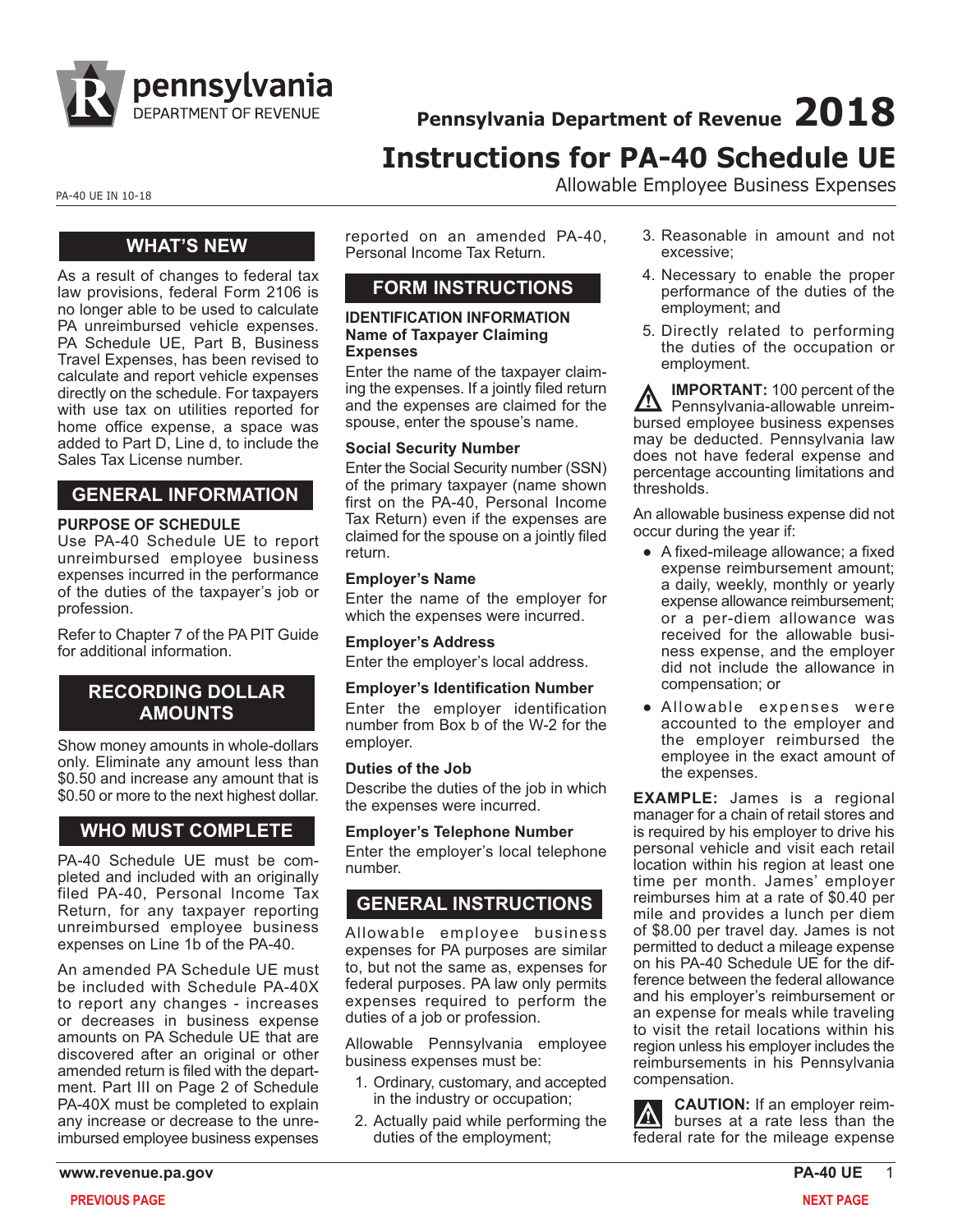

**Pennsylvania Department of Revenue 2018 Instructions for PA-40 Schedule UE**

PA-40 UE IN 10-18 PA-40 UE IN 10-18

## **WHAT'S NEW**

As a result of changes to federal tax law provisions, federal Form 2106 is no longer able to be used to calculate PA unreimbursed vehicle expenses. PA Schedule UE, Part B, Business Travel Expenses, has been revised to calculate and report vehicle expenses directly on the schedule. For taxpayers with use tax on utilities reported for home office expense, a space was added to Part D, Line d, to include the Sales Tax License number.

## **GENERAL INFORMATION**

### **PURPOSE OF SCHEDULE**

Use PA-40 Schedule UE to report unreimbursed employee business expenses incurred in the performance of the duties of the taxpayer's job or profession.

Refer to Chapter 7 of the PA PIT Guide for additional information.

## **RECORDING DOLLAR AMOUNTS**

Show money amounts in whole-dollars only. Eliminate any amount less than \$0.50 and increase any amount that is \$0.50 or more to the next highest dollar.

## **WHO MUST COMPLETE**

PA-40 Schedule UE must be completed and included with an originally filed PA-40, Personal Income Tax Return, for any taxpayer reporting unreimbursed employee business expenses on Line 1b of the PA-40.

An amended PA Schedule UE must be included with Schedule PA-40X to report any changes - increases or decreases in business expense amounts on PA Schedule UE that are discovered after an original or other amended return is filed with the department. Part III on Page 2 of Schedule PA-40X must be completed to explain any increase or decrease to the unreimbursed employee business expenses

reported on an amended PA-40, Personal Income Tax Return.

# **FORM INSTRUCTIONS**

#### **IDENTIFICATION INFORMATION Name of Taxpayer Claiming Expenses**

Enter the name of the taxpayer claiming the expenses. If a jointly filed return and the expenses are claimed for the spouse, enter the spouse's name.

### **Social Security Number**

Enter the Social Security number (SSN) of the primary taxpayer (name shown first on the PA-40, Personal Income Tax Return) even if the expenses are claimed for the spouse on a jointly filed return.

### **Employer's Name**

Enter the name of the employer for which the expenses were incurred.

**Employer's Address** Enter the employer's local address.

### **Employer's Identification Number**

Enter the employer identification number from Box b of the W-2 for the employer.

### **Duties of the Job**

Describe the duties of the job in which the expenses were incurred.

### **Employer's Telephone Number**

Enter the employer's local telephone number.

# **GENERAL INSTRUCTIONS**

Allowable employee business expenses for PA purposes are similar to, but not the same as, expenses for federal purposes. PA law only permits expenses required to perform the duties of a job or profession.

Allowable Pennsylvania employee business expenses must be:

- 1. Ordinary, customary, and accepted in the industry or occupation;
- 2. Actually paid while performing the duties of the employment;
- 3. Reasonable in amount and not excessive;
- 4. Necessary to enable the proper performance of the duties of the employment; and
- 5. Directly related to performing the duties of the occupation or employment.

**IMPORTANT:** 100 percent of the Pennsylvania-allowable unreimbursed employee business expenses may be deducted. Pennsylvania law does not have federal expense and percentage accounting limitations and thresholds.

An allowable business expense did not occur during the year if:

- A fixed-mileage allowance; a fixed expense reimbursement amount; a daily, weekly, monthly or yearly expense allowance reimbursement; or a per-diem allowance was received for the allowable business expense, and the employer did not include the allowance in compensation; or
- Allowable expenses were accounted to the employer and the employer reimbursed the employee in the exact amount of the expenses.

**EXAMPLE:** James is a regional manager for a chain of retail stores and is required by his employer to drive his personal vehicle and visit each retail location within his region at least one time per month. James' employer reimburses him at a rate of \$0.40 per mile and provides a lunch per diem of \$8.00 per travel day. James is not permitted to deduct a mileage expense on his PA-40 Schedule UE for the difference between the federal allowance and his employer's reimbursement or an expense for meals while traveling to visit the retail locations within his region unless his employer includes the reimbursements in his Pennsylvania compensation.

**CAUTION:** If an employer reim- $\Delta$ burses at a rate less than the federal rate for the mileage expense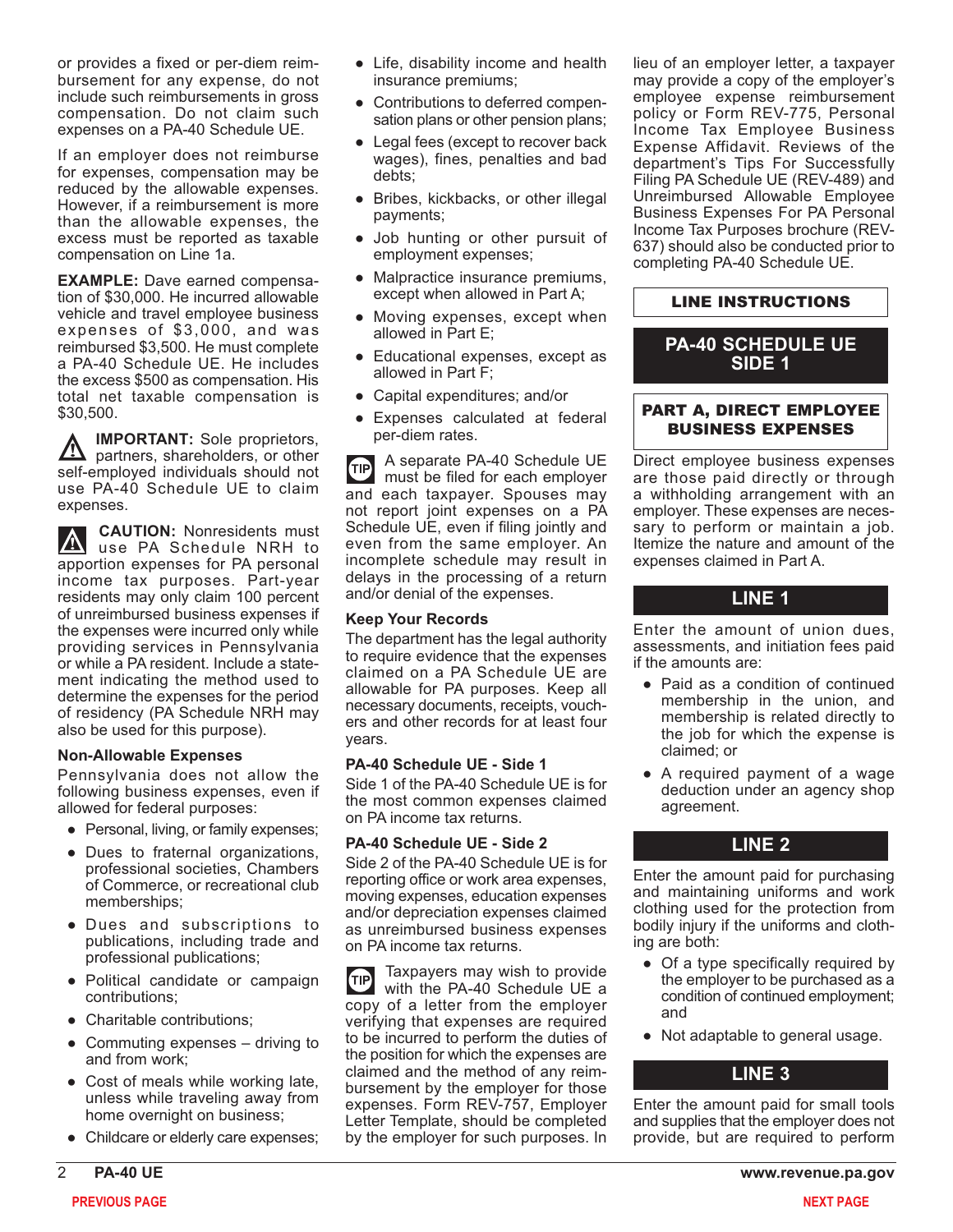or provides a fixed or per-diem reimbursement for any expense, do not include such reimbursements in gross compensation. Do not claim such expenses on a PA-40 Schedule UE.

If an employer does not reimburse for expenses, compensation may be reduced by the allowable expenses. However, if a reimbursement is more than the allowable expenses, the excess must be reported as taxable compensation on Line 1a.

**EXAMPLE:** Dave earned compensation of \$30,000. He incurred allowable vehicle and travel employee business expenses of \$3,000, and was reimbursed \$3,500. He must complete a PA-40 Schedule UE. He includes the excess \$500 as compensation. His total net taxable compensation is \$30,500.

**IMPORTANT:** Sole proprietors, **A** partners, shareholders, or other self-employed individuals should not use PA-40 Schedule UE to claim expenses.

**CAUTION:** Nonresidents must use PA Schedule NRH to apportion expenses for PA personal income tax purposes. Part-year residents may only claim 100 percent of unreimbursed business expenses if the expenses were incurred only while providing services in Pennsylvania or while a PA resident. Include a statement indicating the method used to determine the expenses for the period of residency (PA Schedule NRH may also be used for this purpose).

### **Non-Allowable Expenses**

Pennsylvania does not allow the following business expenses, even if allowed for federal purposes:

- Personal, living, or family expenses;
- Dues to fraternal organizations, professional societies, Chambers of Commerce, or recreational club memberships;
- Dues and subscriptions to publications, including trade and professional publications;
- Political candidate or campaign contributions;
- Charitable contributions;
- Commuting expenses driving to and from work;
- Cost of meals while working late, unless while traveling away from home overnight on business;
- Childcare or elderly care expenses;
- Life, disability income and health insurance premiums;
- Contributions to deferred compensation plans or other pension plans;
- Legal fees (except to recover back wages), fines, penalties and bad debts;
- Bribes, kickbacks, or other illegal payments;
- Job hunting or other pursuit of employment expenses;
- Malpractice insurance premiums, except when allowed in Part A;
- Moving expenses, except when allowed in Part E;
- Educational expenses, except as allowed in Part F;
- Capital expenditures; and/or
- Expenses calculated at federal per-diem rates.

A separate PA-40 Schedule UE TIP) must be filed for each employer and each taxpayer. Spouses may not report joint expenses on a PA Schedule UE, even if filing jointly and even from the same employer. An incomplete schedule may result in delays in the processing of a return and/or denial of the expenses.

### **Keep Your Records**

The department has the legal authority to require evidence that the expenses claimed on a PA Schedule UE are allowable for PA purposes. Keep all necessary documents, receipts, vouchers and other records for at least four years.

### **PA-40 Schedule UE - Side 1**

Side 1 of the PA-40 Schedule UE is for the most common expenses claimed on PA income tax returns.

### **PA-40 Schedule UE - Side 2**

Side 2 of the PA-40 Schedule UE is for reporting office or work area expenses, moving expenses, education expenses and/or depreciation expenses claimed as unreimbursed business expenses on PA income tax returns.

Taxpayers may wish to provide  $(TIP)$ with the PA-40 Schedule UE a copy of a letter from the employer verifying that expenses are required to be incurred to perform the duties of the position for which the expenses are claimed and the method of any reimbursement by the employer for those expenses. Form REV-757, Employer Letter Template, should be completed by the employer for such purposes. In lieu of an employer letter, a taxpayer may provide a copy of the employer's employee expense reimbursement policy or Form REV-775, Personal Income Tax Employee Business Expense Affidavit. Reviews of the department's Tips For Successfully Filing PA Schedule UE (REV-489) and Unreimbursed Allowable Employee Business Expenses For PA Personal Income Tax Purposes brochure (REV-637) should also be conducted prior to completing PA-40 Schedule UE.

### LINE INSTRUCTIONS

## **PA-40 SCHEDULE UE SIDE 1**

### PART A, DIRECT EMPLOYEE BUSINESS EXPENSES

Direct employee business expenses are those paid directly or through a withholding arrangement with an employer. These expenses are necessary to perform or maintain a job. Itemize the nature and amount of the expenses claimed in Part A.

## **LINE 1**

Enter the amount of union dues, assessments, and initiation fees paid if the amounts are:

- Paid as a condition of continued membership in the union, and membership is related directly to the job for which the expense is claimed; or
- A required payment of a wage deduction under an agency shop agreement.

## **LINE 2**

Enter the amount paid for purchasing and maintaining uniforms and work clothing used for the protection from bodily injury if the uniforms and clothing are both:

- Of a type specifically required by the employer to be purchased as a condition of continued employment; and
- Not adaptable to general usage.

## **LINE 3**

Enter the amount paid for small tools and supplies that the employer does not provide, but are required to perform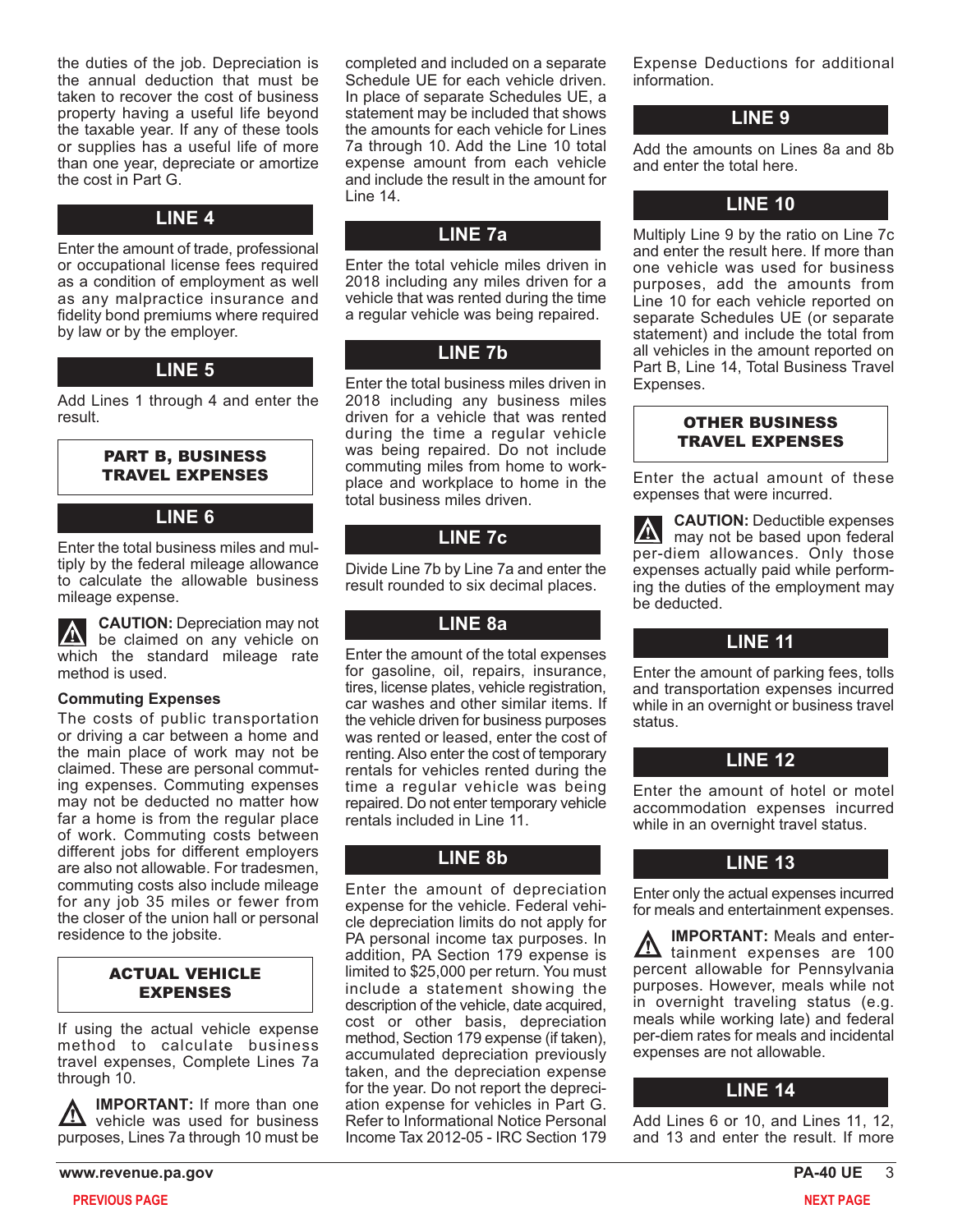the duties of the job. Depreciation is the annual deduction that must be taken to recover the cost of business property having a useful life beyond the taxable year. If any of these tools or supplies has a useful life of more than one year, depreciate or amortize the cost in Part G.

### **LINE 4**

Enter the amount of trade, professional or occupational license fees required as a condition of employment as well as any malpractice insurance and fidelity bond premiums where required by law or by the employer.

## **LINE 5**

Add Lines 1 through 4 and enter the result.

### PART B, BUSINESS TRAVEL EXPENSES

## **LINE 6**

Enter the total business miles and multiply by the federal mileage allowance to calculate the allowable business mileage expense.

**CAUTION:** Depreciation may not **A** be claimed on any vehicle on which the standard mileage rate method is used.

### **Commuting Expenses**

The costs of public transportation or driving a car between a home and the main place of work may not be claimed. These are personal commuting expenses. Commuting expenses may not be deducted no matter how far a home is from the regular place of work. Commuting costs between different jobs for different employers are also not allowable. For tradesmen, commuting costs also include mileage for any job 35 miles or fewer from the closer of the union hall or personal residence to the jobsite.

### ACTUAL VEHICLE EXPENSES

If using the actual vehicle expense method to calculate business travel expenses, Complete Lines 7a through 10.

**IMPORTANT:** If more than one  $\sum$  vehicle was used for business purposes, Lines 7a through 10 must be

completed and included on a separate Schedule UE for each vehicle driven. In place of separate Schedules UE, a statement may be included that shows the amounts for each vehicle for Lines 7a through 10. Add the Line 10 total expense amount from each vehicle and include the result in the amount for Line 14.

## **LINE 7a**

Enter the total vehicle miles driven in 2018 including any miles driven for a vehicle that was rented during the time a regular vehicle was being repaired.

## **LINE 7b**

Enter the total business miles driven in 2018 including any business miles driven for a vehicle that was rented during the time a regular vehicle was being repaired. Do not include commuting miles from home to workplace and workplace to home in the total business miles driven.

# **LINE 7c**

Divide Line 7b by Line 7a and enter the result rounded to six decimal places.

## **LINE 8a**

Enter the amount of the total expenses for gasoline, oil, repairs, insurance, tires, license plates, vehicle registration, car washes and other similar items. If the vehicle driven for business purposes was rented or leased, enter the cost of renting. Also enter the cost of temporary rentals for vehicles rented during the time a regular vehicle was being repaired. Do not enter temporary vehicle rentals included in Line 11.

# **LINE 8b**

Enter the amount of depreciation expense for the vehicle. Federal vehicle depreciation limits do not apply for PA personal income tax purposes. In addition, PA Section 179 expense is limited to \$25,000 per return. You must include a statement showing the description of the vehicle, date acquired, cost or other basis, depreciation method, Section 179 expense (if taken), accumulated depreciation previously taken, and the depreciation expense for the year. Do not report the depreciation expense for vehicles in Part G. Refer to Informational Notice Personal Income Tax 2012-05 - IRC Section 179

Expense Deductions for additional information.

## **LINE 9**

Add the amounts on Lines 8a and 8b and enter the total here.

## **LINE 10**

Multiply Line 9 by the ratio on Line 7c and enter the result here. If more than one vehicle was used for business purposes, add the amounts from Line 10 for each vehicle reported on separate Schedules UE (or separate statement) and include the total from all vehicles in the amount reported on Part B, Line 14, Total Business Travel Expenses.

### OTHER BUSINESS TRAVEL EXPENSES

Enter the actual amount of these expenses that were incurred.

**CAUTION:** Deductible expenses  $\vert\mathbb{V}\vert$ may not be based upon federal per-diem allowances. Only those expenses actually paid while performing the duties of the employment may be deducted.

## **LINE 11**

Enter the amount of parking fees, tolls and transportation expenses incurred while in an overnight or business travel status.

## **LINE 12**

Enter the amount of hotel or motel accommodation expenses incurred while in an overnight travel status.

## **LINE 13**

Enter only the actual expenses incurred for meals and entertainment expenses.

**IMPORTANT:** Meals and enter- $\sum$  tainment expenses are 100 percent allowable for Pennsylvania purposes. However, meals while not in overnight traveling status (e.g. meals while working late) and federal per-diem rates for meals and incidental expenses are not allowable.

## **LINE 14**

Add Lines 6 or 10, and Lines 11, 12, and 13 and enter the result. If more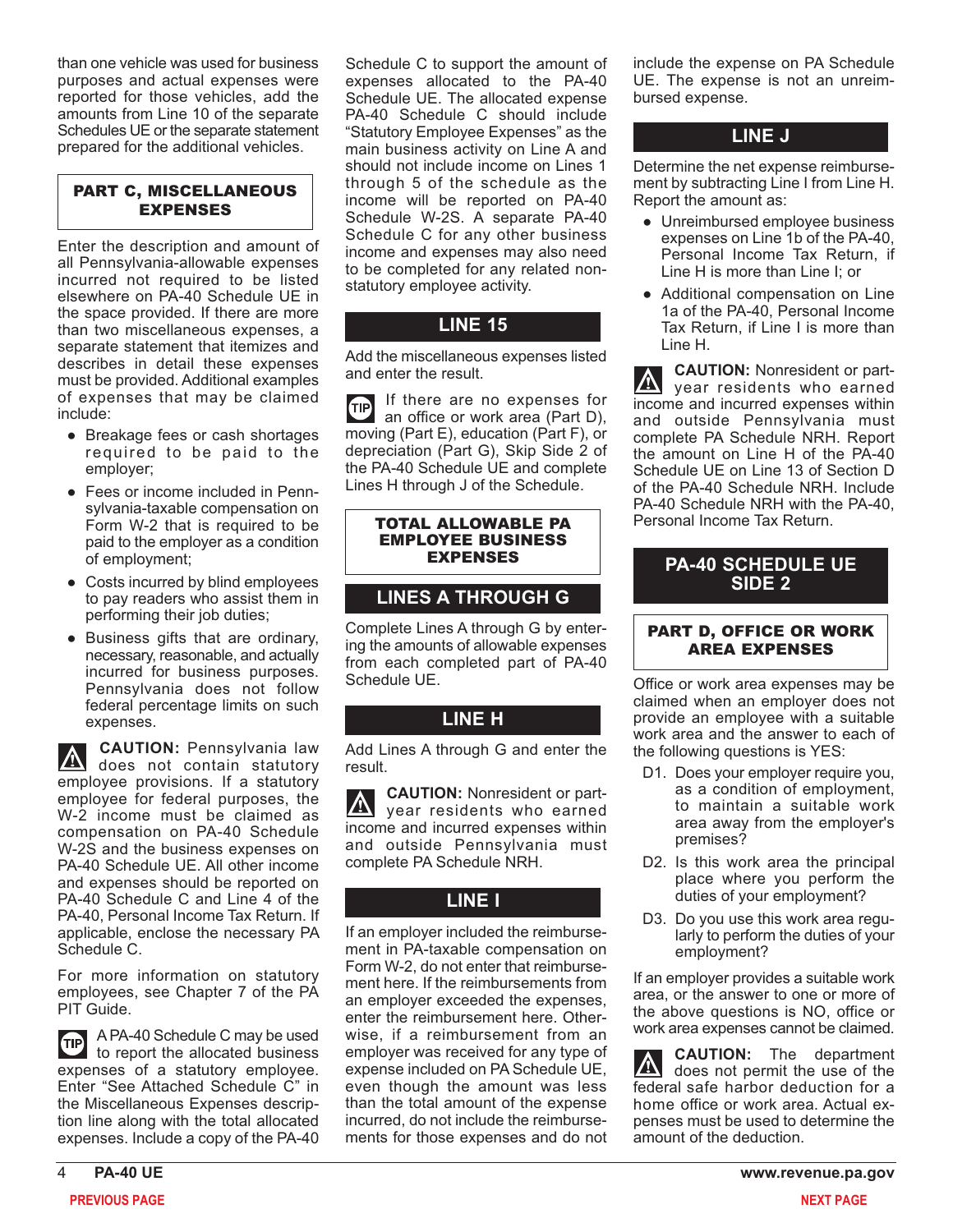than one vehicle was used for business purposes and actual expenses were reported for those vehicles, add the amounts from Line 10 of the separate Schedules UE or the separate statement prepared for the additional vehicles.

### PART C, MISCELLANEOUS EXPENSES

Enter the description and amount of all Pennsylvania-allowable expenses incurred not required to be listed elsewhere on PA-40 Schedule UE in the space provided. If there are more than two miscellaneous expenses, a separate statement that itemizes and describes in detail these expenses must be provided. Additional examples of expenses that may be claimed include:

- Breakage fees or cash shortages required to be paid to the employer;
- Fees or income included in Pennsylvania-taxable compensation on Form W-2 that is required to be paid to the employer as a condition of employment;
- Costs incurred by blind employees to pay readers who assist them in performing their job duties;
- Business gifts that are ordinary, necessary, reasonable, and actually incurred for business purposes. Pennsylvania does not follow federal percentage limits on such expenses.

**CAUTION:** Pennsylvania law  $|\Delta|$ does not contain statutory employee provisions. If a statutory employee for federal purposes, the W-2 income must be claimed as compensation on PA-40 Schedule W-2S and the business expenses on PA-40 Schedule UE. All other income and expenses should be reported on PA-40 Schedule C and Line 4 of the PA-40, Personal Income Tax Return. If applicable, enclose the necessary PA Schedule C.

For more information on statutory employees, see Chapter 7 of the PA PIT Guide.

A PA-40 Schedule C may be used **TIP** to report the allocated business expenses of a statutory employee. Enter "See Attached Schedule C" in the Miscellaneous Expenses description line along with the total allocated expenses. Include a copy of the PA-40

Schedule C to support the amount of expenses allocated to the PA-40 Schedule UE. The allocated expense PA-40 Schedule C should include "Statutory Employee Expenses" as the main business activity on Line A and should not include income on Lines 1 through 5 of the schedule as the income will be reported on PA-40 Schedule W-2S. A separate PA-40 Schedule C for any other business income and expenses may also need to be completed for any related nonstatutory employee activity.

# **LINE 15**

Add the miscellaneous expenses listed and enter the result.

If there are no expenses for TIP an office or work area (Part D), moving (Part E), education (Part F), or depreciation (Part G), Skip Side 2 of the PA-40 Schedule UE and complete Lines H through J of the Schedule.

#### TOTAL ALLOWABLE PA EMPLOYEE BUSINESS EXPENSES

# **LINES A THROUGH G**

Complete Lines A through G by entering the amounts of allowable expenses from each completed part of PA-40 Schedule UE.

## **LINE H**

Add Lines A through G and enter the result.

**CAUTION:** Nonresident or partyear residents who earned income and incurred expenses within and outside Pennsylvania must complete PA Schedule NRH.

# **LINE I**

If an employer included the reimbursement in PA-taxable compensation on Form W-2, do not enter that reimbursement here. If the reimbursements from an employer exceeded the expenses, enter the reimbursement here. Otherwise, if a reimbursement from an employer was received for any type of expense included on PA Schedule UE, even though the amount was less than the total amount of the expense incurred, do not include the reimbursements for those expenses and do not include the expense on PA Schedule UE. The expense is not an unreimbursed expense.

# **LINE J**

Determine the net expense reimbursement by subtracting Line I from Line H. Report the amount as:

- Unreimbursed employee business expenses on Line 1b of the PA-40, Personal Income Tax Return, if Line H is more than Line I; or
- Additional compensation on Line 1a of the PA-40, Personal Income Tax Return, if Line I is more than Line H.

**CAUTION:** Nonresident or part- $|\nabla|$ year residents who earned income and incurred expenses within and outside Pennsylvania must complete PA Schedule NRH. Report the amount on Line H of the PA-40 Schedule UE on Line 13 of Section D of the PA-40 Schedule NRH. Include PA-40 Schedule NRH with the PA-40, Personal Income Tax Return.

## **PA-40 SCHEDULE UE SIDE 2**

## PART D, OFFICE OR WORK AREA EXPENSES

Office or work area expenses may be claimed when an employer does not provide an employee with a suitable work area and the answer to each of the following questions is YES:

- D1. Does your employer require you, as a condition of employment, to maintain a suitable work area away from the employer's premises?
- D2. Is this work area the principal place where you perform the duties of your employment?
- D3. Do you use this work area regularly to perform the duties of your employment?

If an employer provides a suitable work area, or the answer to one or more of the above questions is NO, office or work area expenses cannot be claimed.

**CAUTION:** The department  $\Delta$ does not permit the use of the federal safe harbor deduction for a home office or work area. Actual expenses must be used to determine the amount of the deduction.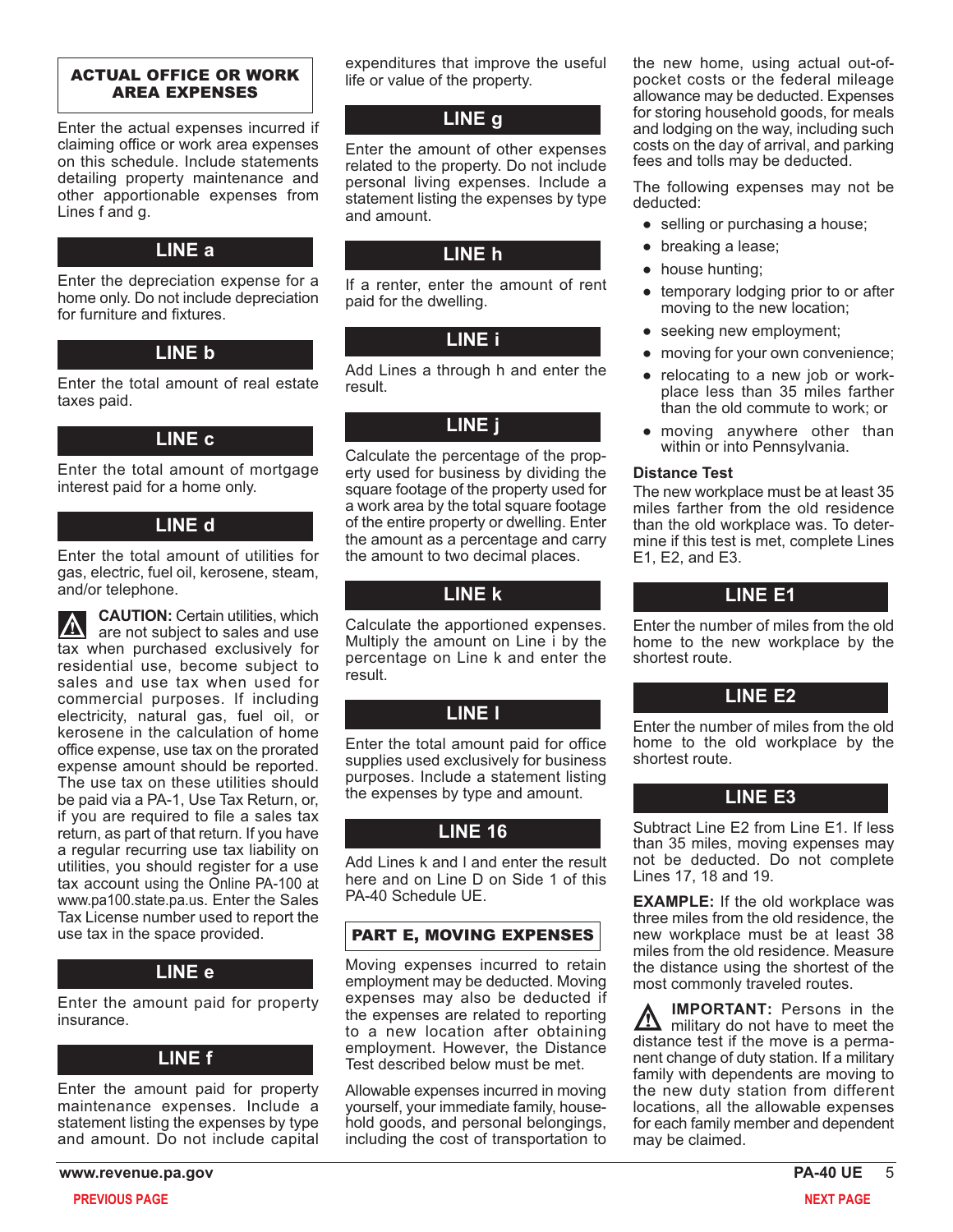### ACTUAL OFFICE OR WORK AREA EXPENSES

Enter the actual expenses incurred if claiming office or work area expenses on this schedule. Include statements detailing property maintenance and other apportionable expenses from Lines f and g.

## **LINE a**

Enter the depreciation expense for a home only. Do not include depreciation for furniture and fixtures.

## **LINE b**

Enter the total amount of real estate taxes paid.

## **LINE c**

Enter the total amount of mortgage interest paid for a home only.

### **LINE d**

Enter the total amount of utilities for gas, electric, fuel oil, kerosene, steam, and/or telephone.

**CAUTION:** Certain utilities, which  $\boldsymbol{\mathbb{\Delta}}$ are not subject to sales and use tax when purchased exclusively for residential use, become subject to sales and use tax when used for commercial purposes. If including electricity, natural gas, fuel oil, or kerosene in the calculation of home office expense, use tax on the prorated expense amount should be reported. The use tax on these utilities should be paid via a PA-1, Use Tax Return, or, if you are required to file a sales tax return, as part of that return. If you have a regular recurring use tax liability on utilities, you should register for a use tax account using the Online PA-100 at www.pa100.state.pa.us. Enter the Sales Tax License number used to report the use tax in the space provided.

## **LINE e**

Enter the amount paid for property insurance.

### **LINE f**

Enter the amount paid for property maintenance expenses. Include a statement listing the expenses by type and amount. Do not include capital

expenditures that improve the useful life or value of the property.

# **LINE g**

Enter the amount of other expenses related to the property. Do not include personal living expenses. Include a statement listing the expenses by type and amount.

## **LINE h**

If a renter, enter the amount of rent paid for the dwelling.

## **LINE i**

Add Lines a through h and enter the result.

## **LINE j**

Calculate the percentage of the property used for business by dividing the square footage of the property used for a work area by the total square footage of the entire property or dwelling. Enter the amount as a percentage and carry the amount to two decimal places.

# **LINE k**

Calculate the apportioned expenses. Multiply the amount on Line i by the percentage on Line k and enter the result.

## **LINE l**

Enter the total amount paid for office supplies used exclusively for business purposes. Include a statement listing the expenses by type and amount.

# **LINE 16**

Add Lines k and l and enter the result here and on Line D on Side 1 of this PA-40 Schedule UE.

## PART E, MOVING EXPENSES

Moving expenses incurred to retain employment may be deducted. Moving expenses may also be deducted if the expenses are related to reporting to a new location after obtaining employment. However, the Distance Test described below must be met.

Allowable expenses incurred in moving yourself, your immediate family, household goods, and personal belongings, including the cost of transportation to

the new home, using actual out-ofpocket costs or the federal mileage allowance may be deducted. Expenses for storing household goods, for meals and lodging on the way, including such costs on the day of arrival, and parking fees and tolls may be deducted.

The following expenses may not be deducted:

- selling or purchasing a house;
- breaking a lease;
- house hunting;
- temporary lodging prior to or after moving to the new location;
- seeking new employment;
- moving for your own convenience;
- relocating to a new job or workplace less than 35 miles farther than the old commute to work; or
- moving anywhere other than within or into Pennsylvania.

### **Distance Test**

The new workplace must be at least 35 miles farther from the old residence than the old workplace was. To determine if this test is met, complete Lines E1, E2, and E3.

## **LINE E1**

Enter the number of miles from the old home to the new workplace by the shortest route.

## **LINE E2**

Enter the number of miles from the old home to the old workplace by the shortest route.

### **LINE E3**

Subtract Line E2 from Line E1. If less than 35 miles, moving expenses may not be deducted. Do not complete Lines 17, 18 and 19.

**EXAMPLE:** If the old workplace was three miles from the old residence, the new workplace must be at least 38 miles from the old residence. Measure the distance using the shortest of the most commonly traveled routes.

**IMPORTANT:** Persons in the <u>/і\</u> military do not have to meet the distance test if the move is a permanent change of duty station. If a military family with dependents are moving to the new duty station from different locations, all the allowable expenses for each family member and dependent may be claimed.